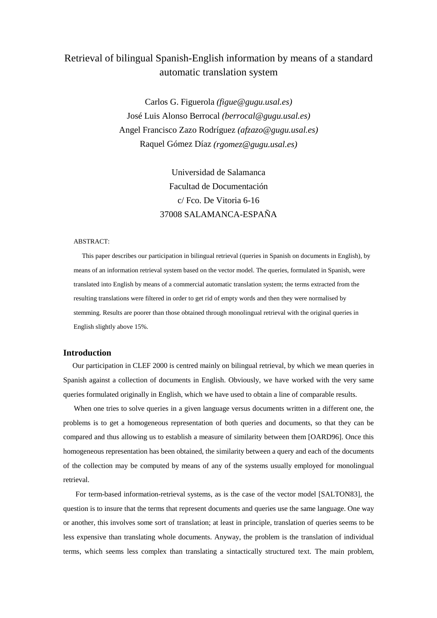# Retrieval of bilingual Spanish-English information by means of a standard automatic translation system

Carlos G. Figuerola *(figue@gugu.usal.es)* José Luis Alonso Berrocal *(berrocal@gugu.usal.es)* Angel Francisco Zazo Rodríguez *(afzazo@gugu.usal.es)* Raquel Gómez Díaz *(rgomez@gugu.usal.es)*

> Universidad de Salamanca Facultad de Documentación c/ Fco. De Vitoria 6-16 37008 SALAMANCA-ESPAÑA

#### ABSTRACT:

 This paper describes our participation in bilingual retrieval (queries in Spanish on documents in English), by means of an information retrieval system based on the vector model. The queries, formulated in Spanish, were translated into English by means of a commercial automatic translation system; the terms extracted from the resulting translations were filtered in order to get rid of empty words and then they were normalised by stemming. Results are poorer than those obtained through monolingual retrieval with the original queries in English slightly above 15%.

## **Introduction**

 Our participation in CLEF 2000 is centred mainly on bilingual retrieval, by which we mean queries in Spanish against a collection of documents in English. Obviously, we have worked with the very same queries formulated originally in English, which we have used to obtain a line of comparable results.

When one tries to solve queries in a given language versus documents written in a different one, the problems is to get a homogeneous representation of both queries and documents, so that they can be compared and thus allowing us to establish a measure of similarity between them [OARD96]. Once this homogeneous representation has been obtained, the similarity between a query and each of the documents of the collection may be computed by means of any of the systems usually employed for monolingual retrieval.

 For term-based information-retrieval systems, as is the case of the vector model [SALTON83], the question is to insure that the terms that represent documents and queries use the same language. One way or another, this involves some sort of translation; at least in principle, translation of queries seems to be less expensive than translating whole documents. Anyway, the problem is the translation of individual terms, which seems less complex than translating a sintactically structured text. The main problem,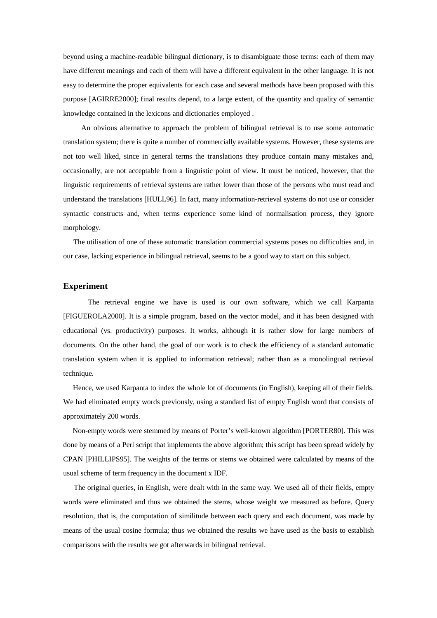beyond using a machine-readable bilingual dictionary, is to disambiguate those terms: each of them may have different meanings and each of them will have a different equivalent in the other language. It is not easy to determine the proper equivalents for each case and several methods have been proposed with this purpose [AGIRRE2000]; final results depend, to a large extent, of the quantity and quality of semantic knowledge contained in the lexicons and dictionaries employed .

 An obvious alternative to approach the problem of bilingual retrieval is to use some automatic translation system; there is quite a number of commercially available systems. However, these systems are not too well liked, since in general terms the translations they produce contain many mistakes and, occasionally, are not acceptable from a linguistic point of view. It must be noticed, however, that the linguistic requirements of retrieval systems are rather lower than those of the persons who must read and understand the translations [HULL96]. In fact, many information-retrieval systems do not use or consider syntactic constructs and, when terms experience some kind of normalisation process, they ignore morphology.

 The utilisation of one of these automatic translation commercial systems poses no difficulties and, in our case, lacking experience in bilingual retrieval, seems to be a good way to start on this subject.

#### **Experiment**

 The retrieval engine we have is used is our own software, which we call Karpanta [FIGUEROLA2000]. It is a simple program, based on the vector model, and it has been designed with educational (vs. productivity) purposes. It works, although it is rather slow for large numbers of documents. On the other hand, the goal of our work is to check the efficiency of a standard automatic translation system when it is applied to information retrieval; rather than as a monolingual retrieval technique.

 Hence, we used Karpanta to index the whole lot of documents (in English), keeping all of their fields. We had eliminated empty words previously, using a standard list of empty English word that consists of approximately 200 words.

 Non-empty words were stemmed by means of Porter's well-known algorithm [PORTER80]. This was done by means of a Perl script that implements the above algorithm; this script has been spread widely by CPAN [PHILLIPS95]. The weights of the terms or stems we obtained were calculated by means of the usual scheme of term frequency in the document x IDF.

 The original queries, in English, were dealt with in the same way. We used all of their fields, empty words were eliminated and thus we obtained the stems, whose weight we measured as before. Query resolution, that is, the computation of similitude between each query and each document, was made by means of the usual cosine formula; thus we obtained the results we have used as the basis to establish comparisons with the results we got afterwards in bilingual retrieval.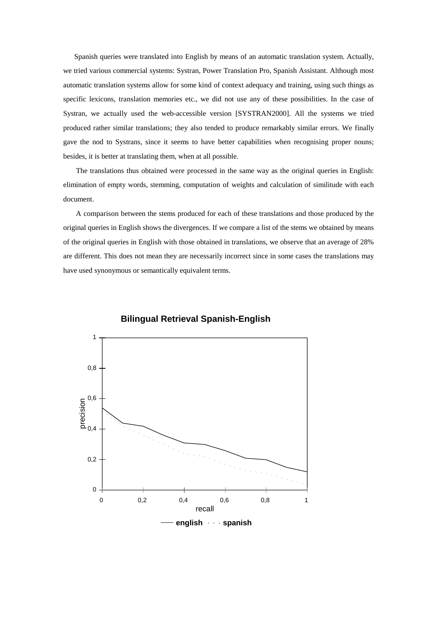Spanish queries were translated into English by means of an automatic translation system. Actually, we tried various commercial systems: Systran, Power Translation Pro, Spanish Assistant. Although most automatic translation systems allow for some kind of context adequacy and training, using such things as specific lexicons, translation memories etc., we did not use any of these possibilities. In the case of Systran, we actually used the web-accessible version [SYSTRAN2000]. All the systems we tried produced rather similar translations; they also tended to produce remarkably similar errors. We finally gave the nod to Systrans, since it seems to have better capabilities when recognising proper nouns; besides, it is better at translating them, when at all possible.

 The translations thus obtained were processed in the same way as the original queries in English: elimination of empty words, stemming, computation of weights and calculation of similitude with each document.

 A comparison between the stems produced for each of these translations and those produced by the original queries in English shows the divergences. If we compare a list of the stems we obtained by means of the original queries in English with those obtained in translations, we observe that an average of 28% are different. This does not mean they are necessarily incorrect since in some cases the translations may have used synonymous or semantically equivalent terms.



**Bilingual Retrieval Spanish-English**